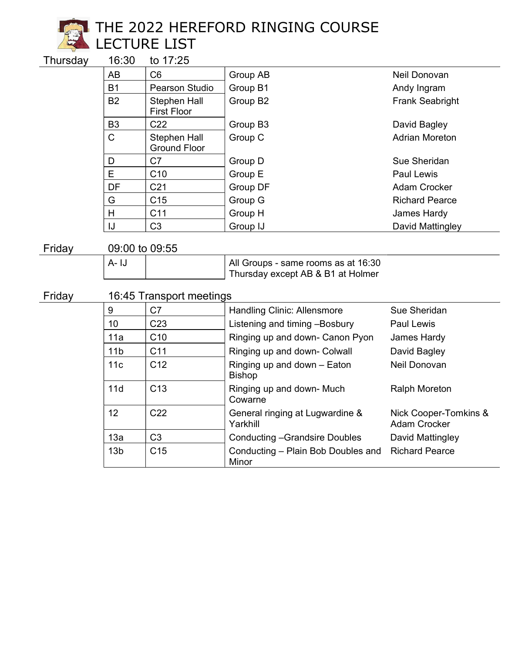

# THE 2022 HEREFORD RINGING COURSE **Number Room LECTURE LIST**

Thursday 16:30 to 17:25

| . |                |                                     |                      |                        |
|---|----------------|-------------------------------------|----------------------|------------------------|
|   | AB             | C <sub>6</sub>                      | Group AB             | Neil Donovan           |
|   | <b>B1</b>      | Pearson Studio                      | Group B1             | Andy Ingram            |
|   | <b>B2</b>      | Stephen Hall<br><b>First Floor</b>  | Group B2             | <b>Frank Seabright</b> |
|   | B <sub>3</sub> | C <sub>22</sub>                     | Group B <sub>3</sub> | David Bagley           |
|   | C              | Stephen Hall<br><b>Ground Floor</b> | Group C              | <b>Adrian Moreton</b>  |
|   | D              | C7                                  | Group D              | Sue Sheridan           |
|   | E              | C <sub>10</sub>                     | Group E              | Paul Lewis             |
|   | DF             | C <sub>21</sub>                     | Group DF             | <b>Adam Crocker</b>    |
|   | G              | C <sub>15</sub>                     | Group G              | <b>Richard Pearce</b>  |
|   | H              | C <sub>11</sub>                     | Group H              | James Hardy            |
|   | IJ             | C <sub>3</sub>                      | Group IJ             | David Mattingley       |

Friday 09:00 to 09:55

| A- I.I | All Groups - same rooms as at 16:30 |
|--------|-------------------------------------|
|        | Thursday except AB & B1 at Holmer   |

# Friday 16:45 Transport meetings

| 9               | C7              | <b>Handling Clinic: Allensmore</b>           | Sue Sheridan                                 |
|-----------------|-----------------|----------------------------------------------|----------------------------------------------|
| 10              | C <sub>23</sub> | Listening and timing -Bosbury                | <b>Paul Lewis</b>                            |
| 11a             | C10             | Ringing up and down- Canon Pyon              | James Hardy                                  |
| 11 <sub>b</sub> | C <sub>11</sub> | Ringing up and down- Colwall                 | David Bagley                                 |
| 11c             | C <sub>12</sub> | Ringing up and down - Eaton<br><b>Bishop</b> | Neil Donovan                                 |
| 11d             | C <sub>13</sub> | Ringing up and down- Much<br>Cowarne         | <b>Ralph Moreton</b>                         |
| 12 <sup>2</sup> | C <sub>22</sub> | General ringing at Lugwardine &<br>Yarkhill  | Nick Cooper-Tomkins &<br><b>Adam Crocker</b> |
| 13a             | C <sub>3</sub>  | <b>Conducting -Grandsire Doubles</b>         | David Mattingley                             |
| 13 <sub>b</sub> | C <sub>15</sub> | Conducting - Plain Bob Doubles and<br>Minor  | <b>Richard Pearce</b>                        |
|                 |                 |                                              |                                              |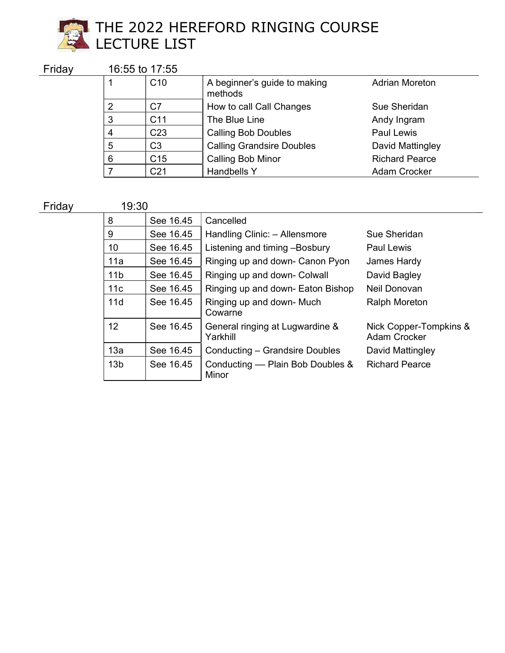

#### **PALIC**  $\sum_{i=1}^{\infty}$  LECTURE LIST THE 2022 HEREFORD RINGING COURSE LECTURE LIST

Friday 16:55 to 17:55

| . |   |                 |                                         |                       |
|---|---|-----------------|-----------------------------------------|-----------------------|
|   |   | C <sub>10</sub> | A beginner's guide to making<br>methods | <b>Adrian Moreton</b> |
|   | 2 | C7              | How to call Call Changes                | Sue Sheridan          |
|   | 3 | C <sub>11</sub> | The Blue Line                           | Andy Ingram           |
|   | 4 | C <sub>23</sub> | <b>Calling Bob Doubles</b>              | <b>Paul Lewis</b>     |
|   | 5 | C <sub>3</sub>  | <b>Calling Grandsire Doubles</b>        | David Mattingley      |
|   | 6 | C <sub>15</sub> | <b>Calling Bob Minor</b>                | <b>Richard Pearce</b> |
|   |   | C <sub>21</sub> | <b>Handbells Y</b>                      | <b>Adam Crocker</b>   |

Friday 19:30

| 8               | See 16.45 | Cancelled                                   |                                               |
|-----------------|-----------|---------------------------------------------|-----------------------------------------------|
| 9               | See 16.45 | Handling Clinic: - Allensmore               | Sue Sheridan                                  |
| 10              | See 16.45 | Listening and timing -Bosbury               | <b>Paul Lewis</b>                             |
| 11a             | See 16.45 | Ringing up and down- Canon Pyon             | James Hardy                                   |
| 11 <sub>b</sub> | See 16.45 | Ringing up and down- Colwall                | David Bagley                                  |
| 11c             | See 16.45 | Ringing up and down- Eaton Bishop           | Neil Donovan                                  |
| 11d             | See 16.45 | Ringing up and down- Much<br>Cowarne        | <b>Ralph Moreton</b>                          |
| 12 <sup>°</sup> | See 16.45 | General ringing at Lugwardine &<br>Yarkhill | Nick Copper-Tompkins &<br><b>Adam Crocker</b> |
| 13a             | See 16.45 | Conducting – Grandsire Doubles              | David Mattingley                              |
| 13 <sub>b</sub> | See 16.45 | Conducting — Plain Bob Doubles &<br>Minor   | <b>Richard Pearce</b>                         |
|                 |           |                                             |                                               |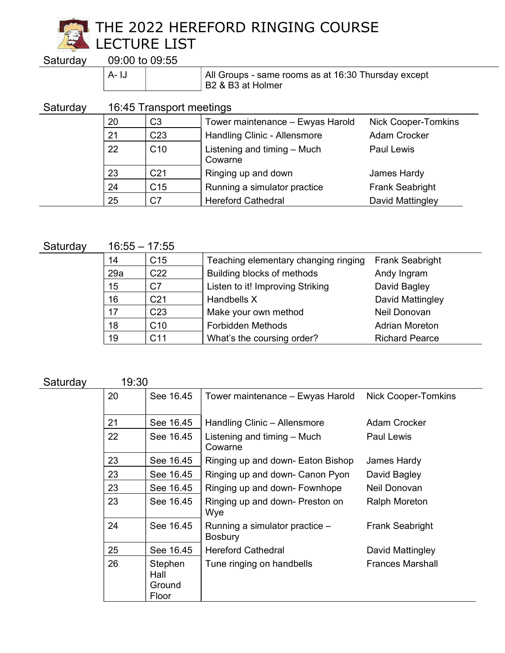

THE 2022 HEREFORD RINGING COURSE **Number Room LECTURE LIST** 

Saturday

|  | 09:00 to 09:55 |
|--|----------------|
|  |                |

A- IJ All Groups - same rooms as at 16:30 Thursday except B2 & B3 at Holmer

### Saturday 16:45 Transport meetings

| 20 | C <sub>3</sub>  | Tower maintenance - Ewyas Harold       | <b>Nick Cooper-Tomkins</b> |
|----|-----------------|----------------------------------------|----------------------------|
| 21 | C <sub>23</sub> | <b>Handling Clinic - Allensmore</b>    | Adam Crocker               |
| 22 | C10             | Listening and timing - Much<br>Cowarne | <b>Paul Lewis</b>          |
| 23 | C <sub>21</sub> | Ringing up and down                    | James Hardy                |
| 24 | C <sub>15</sub> | Running a simulator practice           | <b>Frank Seabright</b>     |
| 25 | C <sub>7</sub>  | <b>Hereford Cathedral</b>              | David Mattingley           |

Saturday 16:55 – 17:55

| .   | .               |                                      |                        |
|-----|-----------------|--------------------------------------|------------------------|
| 14  | C <sub>15</sub> | Teaching elementary changing ringing | <b>Frank Seabright</b> |
| 29a | C <sub>22</sub> | Building blocks of methods           | Andy Ingram            |
| 15  | C7              | Listen to it! Improving Striking     | David Bagley           |
| 16  | C <sub>21</sub> | Handbells X                          | David Mattingley       |
| 17  | C <sub>23</sub> | Make your own method                 | Neil Donovan           |
| 18  | C <sub>10</sub> | <b>Forbidden Methods</b>             | <b>Adrian Moreton</b>  |
| 19  | C <sub>11</sub> | What's the coursing order?           | <b>Richard Pearce</b>  |

#### Saturday 19:30

| ----------- | v.vv |                                    |                                                  |                            |
|-------------|------|------------------------------------|--------------------------------------------------|----------------------------|
|             | 20   | See 16.45                          | Tower maintenance - Ewyas Harold                 | <b>Nick Cooper-Tomkins</b> |
|             | 21   | See 16.45                          | Handling Clinic - Allensmore                     | <b>Adam Crocker</b>        |
|             | 22   | See 16.45                          | Listening and timing - Much<br>Cowarne           | Paul Lewis                 |
|             | 23   | See 16.45                          | Ringing up and down- Eaton Bishop                | James Hardy                |
|             | 23   | See 16.45                          | Ringing up and down- Canon Pyon                  | David Bagley               |
|             | 23   | See 16.45                          | Ringing up and down- Fownhope                    | Neil Donovan               |
|             | 23   | See 16.45                          | Ringing up and down- Preston on<br>Wye           | <b>Ralph Moreton</b>       |
|             | 24   | See 16.45                          | Running a simulator practice -<br><b>Bosbury</b> | <b>Frank Seabright</b>     |
|             | 25   | See 16.45                          | <b>Hereford Cathedral</b>                        | David Mattingley           |
|             | 26   | Stephen<br>Hall<br>Ground<br>Floor | Tune ringing on handbells                        | <b>Frances Marshall</b>    |